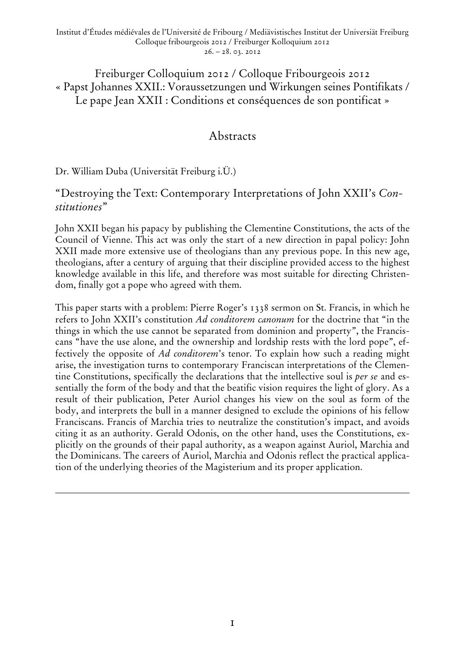Freiburger Colloquium 2012 / Colloque Fribourgeois 2012 « Papst Johannes XXII.: Voraussetzungen und Wirkungen seines Pontifikats / Le pape Jean XXII : Conditions et conséquences de son pontificat »

# Abstracts

Dr. William Duba (Universität Freiburg i.Ü.)

## "Destroying the Text: Contemporary Interpretations of John XXII's *Constitutiones*"

John XXII began his papacy by publishing the Clementine Constitutions, the acts of the Council of Vienne. This act was only the start of a new direction in papal policy: John XXII made more extensive use of theologians than any previous pope. In this new age, theologians, after a century of arguing that their discipline provided access to the highest knowledge available in this life, and therefore was most suitable for directing Christendom, finally got a pope who agreed with them.

This paper starts with a problem: Pierre Roger's 1338 sermon on St. Francis, in which he refers to John XXII's constitution *Ad conditorem canonum* for the doctrine that "in the things in which the use cannot be separated from dominion and property", the Franciscans "have the use alone, and the ownership and lordship rests with the lord pope", effectively the opposite of *Ad conditorem*'s tenor. To explain how such a reading might arise, the investigation turns to contemporary Franciscan interpretations of the Clementine Constitutions, specifically the declarations that the intellective soul is *per se* and essentially the form of the body and that the beatific vision requires the light of glory. As a result of their publication, Peter Auriol changes his view on the soul as form of the body, and interprets the bull in a manner designed to exclude the opinions of his fellow Franciscans. Francis of Marchia tries to neutralize the constitution's impact, and avoids citing it as an authority. Gerald Odonis, on the other hand, uses the Constitutions, explicitly on the grounds of their papal authority, as a weapon against Auriol, Marchia and the Dominicans. The careers of Auriol, Marchia and Odonis reflect the practical application of the underlying theories of the Magisterium and its proper application.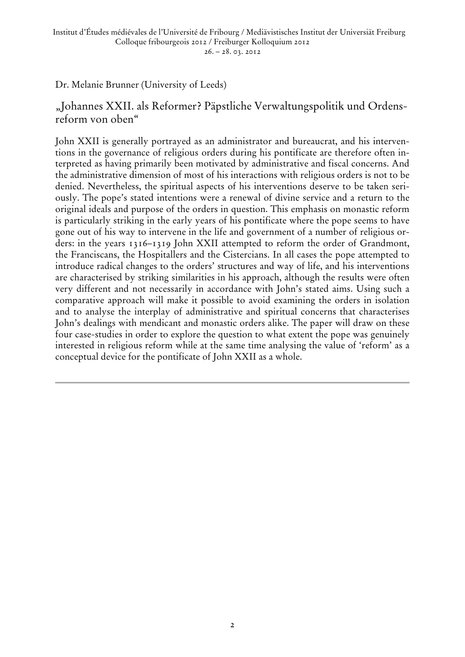Dr. Melanie Brunner (University of Leeds)

"Johannes XXII. als Reformer? Päpstliche Verwaltungspolitik und Ordensreform von oben"

John XXII is generally portrayed as an administrator and bureaucrat, and his interventions in the governance of religious orders during his pontificate are therefore often interpreted as having primarily been motivated by administrative and fiscal concerns. And the administrative dimension of most of his interactions with religious orders is not to be denied. Nevertheless, the spiritual aspects of his interventions deserve to be taken seriously. The pope's stated intentions were a renewal of divine service and a return to the original ideals and purpose of the orders in question. This emphasis on monastic reform is particularly striking in the early years of his pontificate where the pope seems to have gone out of his way to intervene in the life and government of a number of religious orders: in the years 1316–1319 John XXII attempted to reform the order of Grandmont, the Franciscans, the Hospitallers and the Cistercians. In all cases the pope attempted to introduce radical changes to the orders' structures and way of life, and his interventions are characterised by striking similarities in his approach, although the results were often very different and not necessarily in accordance with John's stated aims. Using such a comparative approach will make it possible to avoid examining the orders in isolation and to analyse the interplay of administrative and spiritual concerns that characterises John's dealings with mendicant and monastic orders alike. The paper will draw on these four case-studies in order to explore the question to what extent the pope was genuinely interested in religious reform while at the same time analysing the value of 'reform' as a conceptual device for the pontificate of John XXII as a whole.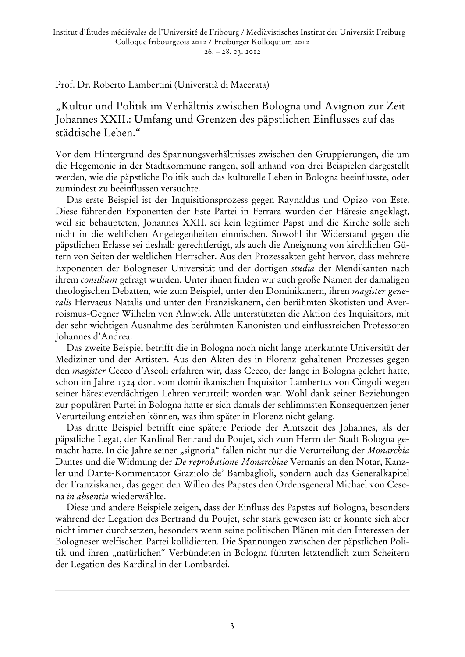Prof. Dr. Roberto Lambertini (Universtià di Macerata)

"Kultur und Politik im Verhältnis zwischen Bologna und Avignon zur Zeit Johannes XXII.: Umfang und Grenzen des päpstlichen Einflusses auf das städtische Leben."

Vor dem Hintergrund des Spannungsverhältnisses zwischen den Gruppierungen, die um die Hegemonie in der Stadtkommune rangen, soll anhand von drei Beispielen dargestellt werden, wie die päpstliche Politik auch das kulturelle Leben in Bologna beeinflusste, oder zumindest zu beeinflussen versuchte.

Das erste Beispiel ist der Inquisitionsprozess gegen Raynaldus und Opizo von Este. Diese führenden Exponenten der Este-Partei in Ferrara wurden der Häresie angeklagt, weil sie behaupteten, Johannes XXII. sei kein legitimer Papst und die Kirche solle sich nicht in die weltlichen Angelegenheiten einmischen. Sowohl ihr Widerstand gegen die päpstlichen Erlasse sei deshalb gerechtfertigt, als auch die Aneignung von kirchlichen Gütern von Seiten der weltlichen Herrscher. Aus den Prozessakten geht hervor, dass mehrere Exponenten der Bologneser Universität und der dortigen *studia* der Mendikanten nach ihrem *consilium* gefragt wurden. Unter ihnen finden wir auch große Namen der damaligen theologischen Debatten, wie zum Beispiel, unter den Dominikanern, ihren *magister generalis* Hervaeus Natalis und unter den Franziskanern, den berühmten Skotisten und Averroismus-Gegner Wilhelm von Alnwick. Alle unterstützten die Aktion des Inquisitors, mit der sehr wichtigen Ausnahme des berühmten Kanonisten und einflussreichen Professoren Johannes d'Andrea.

Das zweite Beispiel betrifft die in Bologna noch nicht lange anerkannte Universität der Mediziner und der Artisten. Aus den Akten des in Florenz gehaltenen Prozesses gegen den *magister* Cecco d'Ascoli erfahren wir, dass Cecco, der lange in Bologna gelehrt hatte, schon im Jahre 1324 dort vom dominikanischen Inquisitor Lambertus von Cingoli wegen seiner häresieverdächtigen Lehren verurteilt worden war. Wohl dank seiner Beziehungen zur populären Partei in Bologna hatte er sich damals der schlimmsten Konsequenzen jener Verurteilung entziehen können, was ihm später in Florenz nicht gelang.

Das dritte Beispiel betrifft eine spätere Periode der Amtszeit des Johannes, als der päpstliche Legat, der Kardinal Bertrand du Poujet, sich zum Herrn der Stadt Bologna gemacht hatte. In die Jahre seiner "signoria" fallen nicht nur die Verurteilung der Monarchia Dantes und die Widmung der *De reprobatione Monarchiae* Vernanis an den Notar, Kanzler und Dante-Kommentator Graziolo de' Bambaglioli, sondern auch das Generalkapitel der Franziskaner, das gegen den Willen des Papstes den Ordensgeneral Michael von Cesena *in absentia* wiederwählte.

Diese und andere Beispiele zeigen, dass der Einfluss des Papstes auf Bologna, besonders während der Legation des Bertrand du Poujet, sehr stark gewesen ist; er konnte sich aber nicht immer durchsetzen, besonders wenn seine politischen Plänen mit den Interessen der Bologneser welfischen Partei kollidierten. Die Spannungen zwischen der päpstlichen Politik und ihren "natürlichen" Verbündeten in Bologna führten letztendlich zum Scheitern der Legation des Kardinal in der Lombardei.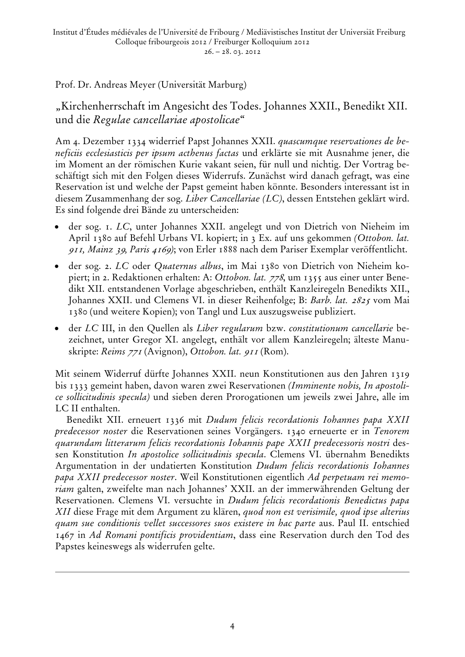Prof. Dr. Andreas Meyer (Universität Marburg)

"Kirchenherrschaft im Angesicht des Todes. Johannes XXII., Benedikt XII. und die *Regulae cancellariae apostolicae*"

Am 4. Dezember 1334 widerrief Papst Johannes XXII. *quascumque reservationes de beneficiis ecclesiasticis per ipsum acthenus factas* und erklärte sie mit Ausnahme jener, die im Moment an der römischen Kurie vakant seien, für null und nichtig. Der Vortrag beschäftigt sich mit den Folgen dieses Widerrufs. Zunächst wird danach gefragt, was eine Reservation ist und welche der Papst gemeint haben könnte. Besonders interessant ist in diesem Zusammenhang der sog. *Liber Cancellariae (LC)*, dessen Entstehen geklärt wird. Es sind folgende drei Bände zu unterscheiden:

- der sog. 1. *LC*, unter Johannes XXII. angelegt und von Dietrich von Nieheim im April 1380 auf Befehl Urbans VI. kopiert; in 3 Ex. auf uns gekommen *(Ottobon. lat.*  <sup>911</sup>*, Mainz* 39*, Paris* 4169*)*; von Erler 1888 nach dem Pariser Exemplar veröffentlicht.
- der sog. 2. *LC* oder *Quaternus albus*, im Mai 1380 von Dietrich von Nieheim kopiert; in 2. Redaktionen erhalten: A: *Ottobon. lat.* 778, um 1355 aus einer unter Benedikt XII. entstandenen Vorlage abgeschrieben, enthält Kanzleiregeln Benedikts XII., Johannes XXII. und Clemens VI. in dieser Reihenfolge; B: *Barb. lat.* 2825 vom Mai 1380 (und weitere Kopien); von Tangl und Lux auszugsweise publiziert.
- der *LC* III, in den Quellen als *Liber regularum* bzw. *constitutionum cancellarie* bezeichnet, unter Gregor XI. angelegt, enthält vor allem Kanzleiregeln; älteste Manuskripte: *Reims* <sup>771</sup> (Avignon), *Ottobon. lat.* <sup>911</sup> (Rom).

Mit seinem Widerruf dürfte Johannes XXII. neun Konstitutionen aus den Jahren 1319 bis 1333 gemeint haben, davon waren zwei Reservationen *(Imminente nobis, In apostolice sollicitudinis specula)* und sieben deren Prorogationen um jeweils zwei Jahre, alle im LC II enthalten.

Benedikt XII. erneuert 1336 mit *Dudum felicis recordationis Iohannes papa XXII predecessor noster* die Reservationen seines Vorgängers. 1340 erneuerte er in *Tenorem quarundam litterarum felicis recordationis Iohannis pape XXII predecessoris nostri* dessen Konstitution *In apostolice sollicitudinis specula*. Clemens VI. übernahm Benedikts Argumentation in der undatierten Konstitution *Dudum felicis recordationis Iohannes papa XXII predecessor noster*. Weil Konstitutionen eigentlich *Ad perpetuam rei memoriam* galten, zweifelte man nach Johannes' XXII. an der immerwährenden Geltung der Reservationen. Clemens VI. versuchte in *Dudum felicis recordationis Benedictus papa XII* diese Frage mit dem Argument zu klären, *quod non est verisimile, quod ipse alterius quam sue conditionis vellet successores suos existere in hac parte* aus. Paul II. entschied 1467 in *Ad Romani pontificis providentiam*, dass eine Reservation durch den Tod des Papstes keineswegs als widerrufen gelte.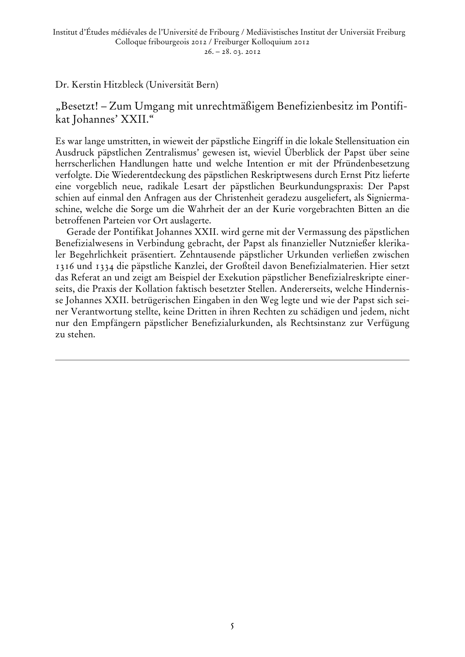#### Dr. Kerstin Hitzbleck (Universität Bern)

#### "Besetzt! – Zum Umgang mit unrechtmäßigem Benefizienbesitz im Pontifikat Johannes' XXII."

Es war lange umstritten, in wieweit der päpstliche Eingriff in die lokale Stellensituation ein Ausdruck päpstlichen Zentralismus' gewesen ist, wieviel Überblick der Papst über seine herrscherlichen Handlungen hatte und welche Intention er mit der Pfründenbesetzung verfolgte. Die Wiederentdeckung des päpstlichen Reskriptwesens durch Ernst Pitz lieferte eine vorgeblich neue, radikale Lesart der päpstlichen Beurkundungspraxis: Der Papst schien auf einmal den Anfragen aus der Christenheit geradezu ausgeliefert, als Signiermaschine, welche die Sorge um die Wahrheit der an der Kurie vorgebrachten Bitten an die betroffenen Parteien vor Ort auslagerte.

Gerade der Pontifikat Johannes XXII. wird gerne mit der Vermassung des päpstlichen Benefizialwesens in Verbindung gebracht, der Papst als finanzieller Nutznießer klerikaler Begehrlichkeit präsentiert. Zehntausende päpstlicher Urkunden verließen zwischen 1316 und 1334 die päpstliche Kanzlei, der Großteil davon Benefizialmaterien. Hier setzt das Referat an und zeigt am Beispiel der Exekution päpstlicher Benefizialreskripte einerseits, die Praxis der Kollation faktisch besetzter Stellen. Andererseits, welche Hindernisse Johannes XXII. betrügerischen Eingaben in den Weg legte und wie der Papst sich seiner Verantwortung stellte, keine Dritten in ihren Rechten zu schädigen und jedem, nicht nur den Empfängern päpstlicher Benefizialurkunden, als Rechtsinstanz zur Verfügung zu stehen.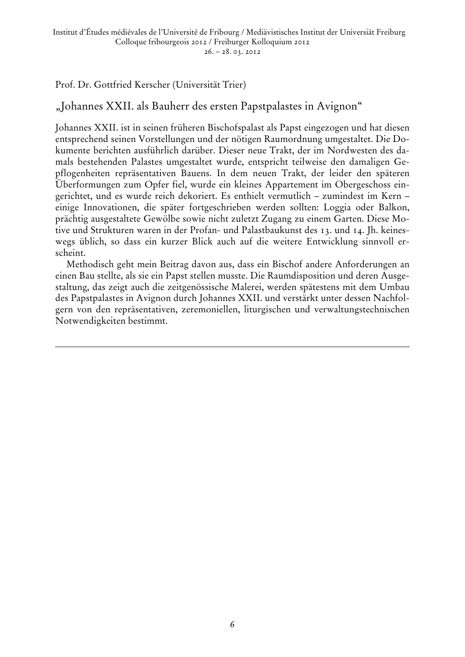#### Prof. Dr. Gottfried Kerscher (Universität Trier)

#### "Johannes XXII. als Bauherr des ersten Papstpalastes in Avignon"

Johannes XXII. ist in seinen früheren Bischofspalast als Papst eingezogen und hat diesen entsprechend seinen Vorstellungen und der nötigen Raumordnung umgestaltet. Die Dokumente berichten ausführlich darüber. Dieser neue Trakt, der im Nordwesten des damals bestehenden Palastes umgestaltet wurde, entspricht teilweise den damaligen Gepflogenheiten repräsentativen Bauens. In dem neuen Trakt, der leider den späteren Überformungen zum Opfer fiel, wurde ein kleines Appartement im Obergeschoss eingerichtet, und es wurde reich dekoriert. Es enthielt vermutlich – zumindest im Kern – einige Innovationen, die später fortgeschrieben werden sollten: Loggia oder Balkon, prächtig ausgestaltete Gewölbe sowie nicht zuletzt Zugang zu einem Garten. Diese Motive und Strukturen waren in der Profan- und Palastbaukunst des 13. und 14. Jh. keineswegs üblich, so dass ein kurzer Blick auch auf die weitere Entwicklung sinnvoll erscheint.

Methodisch geht mein Beitrag davon aus, dass ein Bischof andere Anforderungen an einen Bau stellte, als sie ein Papst stellen musste. Die Raumdisposition und deren Ausgestaltung, das zeigt auch die zeitgenössische Malerei, werden spätestens mit dem Umbau des Papstpalastes in Avignon durch Johannes XXII. und verstärkt unter dessen Nachfolgern von den repräsentativen, zeremoniellen, liturgischen und verwaltungstechnischen Notwendigkeiten bestimmt.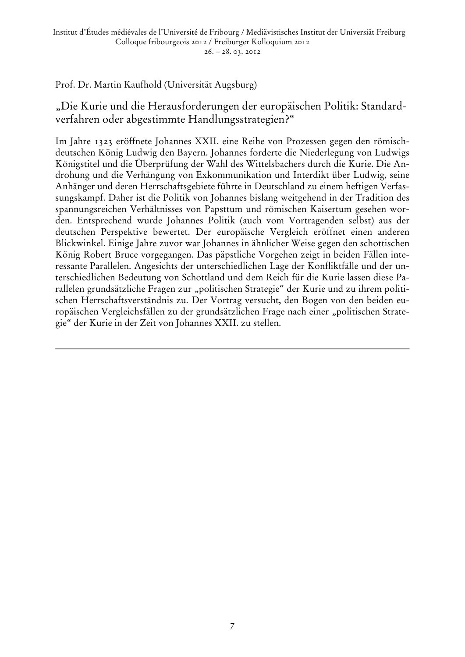Prof. Dr. Martin Kaufhold (Universität Augsburg)

"Die Kurie und die Herausforderungen der europäischen Politik: Standardverfahren oder abgestimmte Handlungsstrategien?"

Im Jahre 1323 eröffnete Johannes XXII. eine Reihe von Prozessen gegen den römischdeutschen König Ludwig den Bayern. Johannes forderte die Niederlegung von Ludwigs Königstitel und die Überprüfung der Wahl des Wittelsbachers durch die Kurie. Die Androhung und die Verhängung von Exkommunikation und Interdikt über Ludwig, seine Anhänger und deren Herrschaftsgebiete führte in Deutschland zu einem heftigen Verfassungskampf. Daher ist die Politik von Johannes bislang weitgehend in der Tradition des spannungsreichen Verhältnisses von Papsttum und römischen Kaisertum gesehen worden. Entsprechend wurde Johannes Politik (auch vom Vortragenden selbst) aus der deutschen Perspektive bewertet. Der europäische Vergleich eröffnet einen anderen Blickwinkel. Einige Jahre zuvor war Johannes in ähnlicher Weise gegen den schottischen König Robert Bruce vorgegangen. Das päpstliche Vorgehen zeigt in beiden Fällen interessante Parallelen. Angesichts der unterschiedlichen Lage der Konfliktfälle und der unterschiedlichen Bedeutung von Schottland und dem Reich für die Kurie lassen diese Parallelen grundsätzliche Fragen zur "politischen Strategie" der Kurie und zu ihrem politischen Herrschaftsverständnis zu. Der Vortrag versucht, den Bogen von den beiden europäischen Vergleichsfällen zu der grundsätzlichen Frage nach einer "politischen Strategie" der Kurie in der Zeit von Johannes XXII. zu stellen.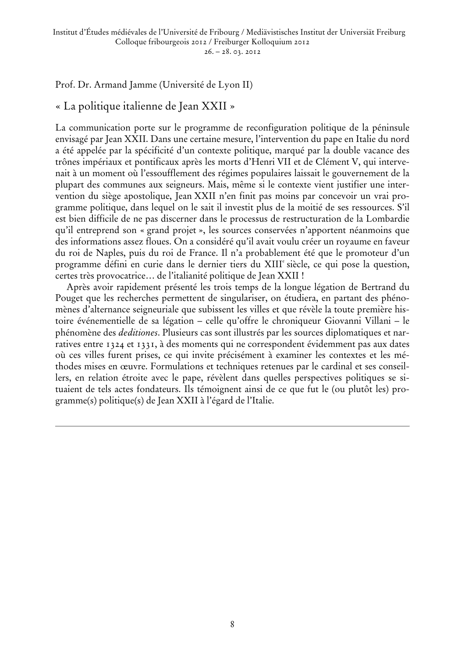Prof. Dr. Armand Jamme (Université de Lyon II)

#### « La politique italienne de Jean XXII »

La communication porte sur le programme de reconfiguration politique de la péninsule envisagé par Jean XXII. Dans une certaine mesure, l'intervention du pape en Italie du nord a été appelée par la spécificité d'un contexte politique, marqué par la double vacance des trônes impériaux et pontificaux après les morts d'Henri VII et de Clément V, qui intervenait à un moment où l'essoufflement des régimes populaires laissait le gouvernement de la plupart des communes aux seigneurs. Mais, même si le contexte vient justifier une intervention du siège apostolique, Jean XXII n'en finit pas moins par concevoir un vrai programme politique, dans lequel on le sait il investit plus de la moitié de ses ressources. S'il est bien difficile de ne pas discerner dans le processus de restructuration de la Lombardie qu'il entreprend son « grand projet », les sources conservées n'apportent néanmoins que des informations assez floues. On a considéré qu'il avait voulu créer un royaume en faveur du roi de Naples, puis du roi de France. Il n'a probablement été que le promoteur d'un programme défini en curie dans le dernier tiers du XIII<sup>e</sup> siècle, ce qui pose la question, certes très provocatrice… de l'italianité politique de Jean XXII !

Après avoir rapidement présenté les trois temps de la longue légation de Bertrand du Pouget que les recherches permettent de singulariser, on étudiera, en partant des phénomènes d'alternance seigneuriale que subissent les villes et que révèle la toute première histoire événementielle de sa légation – celle qu'offre le chroniqueur Giovanni Villani – le phénomène des *deditiones*. Plusieurs cas sont illustrés par les sources diplomatiques et narratives entre 1324 et 1331, à des moments qui ne correspondent évidemment pas aux dates où ces villes furent prises, ce qui invite précisément à examiner les contextes et les méthodes mises en œuvre. Formulations et techniques retenues par le cardinal et ses conseillers, en relation étroite avec le pape, révèlent dans quelles perspectives politiques se situaient de tels actes fondateurs. Ils témoignent ainsi de ce que fut le (ou plutôt les) programme(s) politique(s) de Jean XXII à l'égard de l'Italie.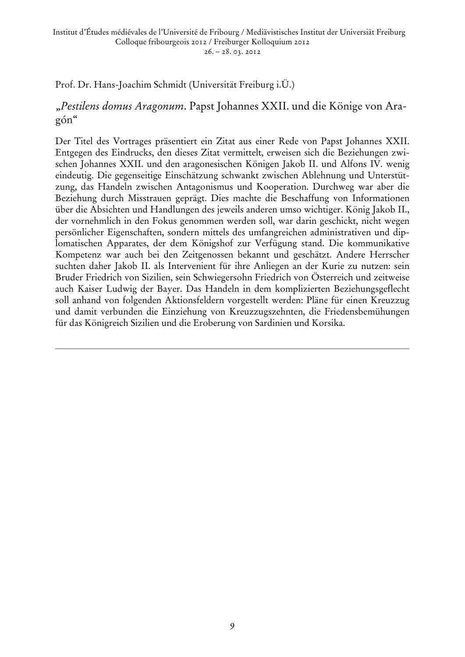Prof. Dr. Hans-Joachim Schmidt (Universität Freiburg i.Ü.)

#### "*Pestilens domus Aragonum*. Papst Johannes XXII. und die Könige von Aragón"

Der Titel des Vortrages präsentiert ein Zitat aus einer Rede von Papst Johannes XXII. Entgegen des Eindrucks, den dieses Zitat vermittelt, erweisen sich die Beziehungen zwischen Johannes XXII. und den aragonesischen Königen Jakob II. und Alfons IV. wenig eindeutig. Die gegenseitige Einschätzung schwankt zwischen Ablehnung und Unterstützung, das Handeln zwischen Antagonismus und Kooperation. Durchweg war aber die Beziehung durch Misstrauen geprägt. Dies machte die Beschaffung von Informationen über die Absichten und Handlungen des jeweils anderen umso wichtiger. König Jakob II., der vornehmlich in den Fokus genommen werden soll, war darin geschickt, nicht wegen persönlicher Eigenschaften, sondern mittels des umfangreichen administrativen und diplomatischen Apparates, der dem Königshof zur Verfügung stand. Die kommunikative Kompetenz war auch bei den Zeitgenossen bekannt und geschätzt. Andere Herrscher suchten daher Jakob II. als Intervenient für ihre Anliegen an der Kurie zu nutzen: sein Bruder Friedrich von Sizilien, sein Schwiegersohn Friedrich von Österreich und zeitweise auch Kaiser Ludwig der Bayer. Das Handeln in dem komplizierten Beziehungsgeflecht soll anhand von folgenden Aktionsfeldern vorgestellt werden: Pläne für einen Kreuzzug und damit verbunden die Einziehung von Kreuzzugszehnten, die Friedensbemühungen für das Königreich Sizilien und die Eroberung von Sardinien und Korsika.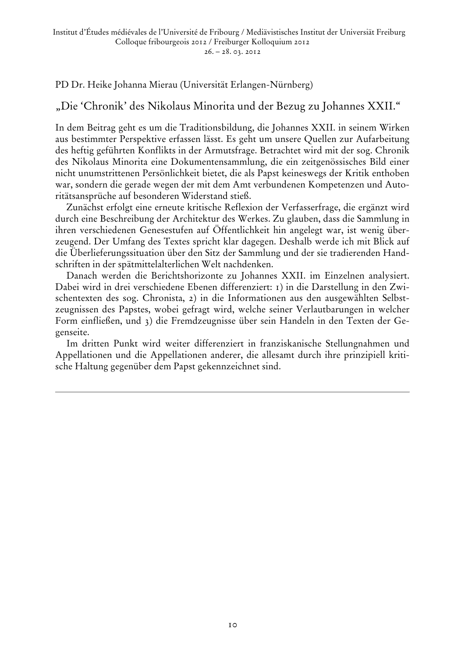PD Dr. Heike Johanna Mierau (Universität Erlangen-Nürnberg)

### "Die 'Chronik' des Nikolaus Minorita und der Bezug zu Johannes XXII."

In dem Beitrag geht es um die Traditionsbildung, die Johannes XXII. in seinem Wirken aus bestimmter Perspektive erfassen lässt. Es geht um unsere Quellen zur Aufarbeitung des heftig geführten Konflikts in der Armutsfrage. Betrachtet wird mit der sog. Chronik des Nikolaus Minorita eine Dokumentensammlung, die ein zeitgenössisches Bild einer nicht unumstrittenen Persönlichkeit bietet, die als Papst keineswegs der Kritik enthoben war, sondern die gerade wegen der mit dem Amt verbundenen Kompetenzen und Autoritätsansprüche auf besonderen Widerstand stieß.

Zunächst erfolgt eine erneute kritische Reflexion der Verfasserfrage, die ergänzt wird durch eine Beschreibung der Architektur des Werkes. Zu glauben, dass die Sammlung in ihren verschiedenen Genesestufen auf Öffentlichkeit hin angelegt war, ist wenig überzeugend. Der Umfang des Textes spricht klar dagegen. Deshalb werde ich mit Blick auf die Überlieferungssituation über den Sitz der Sammlung und der sie tradierenden Handschriften in der spätmittelalterlichen Welt nachdenken.

Danach werden die Berichtshorizonte zu Johannes XXII. im Einzelnen analysiert. Dabei wird in drei verschiedene Ebenen differenziert: 1) in die Darstellung in den Zwischentexten des sog. Chronista, 2) in die Informationen aus den ausgewählten Selbstzeugnissen des Papstes, wobei gefragt wird, welche seiner Verlautbarungen in welcher Form einfließen, und 3) die Fremdzeugnisse über sein Handeln in den Texten der Gegenseite.

Im dritten Punkt wird weiter differenziert in franziskanische Stellungnahmen und Appellationen und die Appellationen anderer, die allesamt durch ihre prinzipiell kritische Haltung gegenüber dem Papst gekennzeichnet sind.